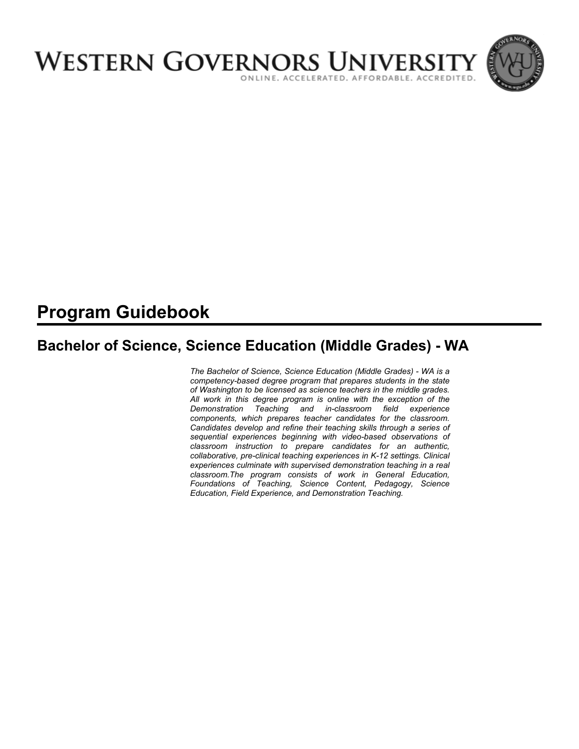

# **Program Guidebook**

# **Bachelor of Science, Science Education (Middle Grades) - WA**

*The Bachelor of Science, Science Education (Middle Grades) - WA is a competency-based degree program that prepares students in the state of Washington to be licensed as science teachers in the middle grades. All work in this degree program is online with the exception of the Demonstration Teaching and in-classroom field experience components, which prepares teacher candidates for the classroom. Candidates develop and refine their teaching skills through a series of sequential experiences beginning with video-based observations of classroom instruction to prepare candidates for an authentic, collaborative, pre-clinical teaching experiences in K-12 settings. Clinical experiences culminate with supervised demonstration teaching in a real classroom.The program consists of work in General Education, Foundations of Teaching, Science Content, Pedagogy, Science Education, Field Experience, and Demonstration Teaching.*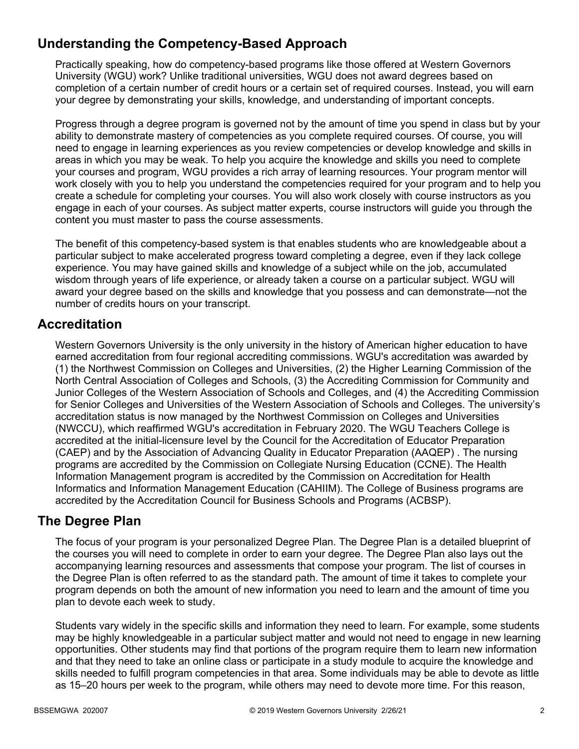# **Understanding the Competency-Based Approach**

Practically speaking, how do competency-based programs like those offered at Western Governors University (WGU) work? Unlike traditional universities, WGU does not award degrees based on completion of a certain number of credit hours or a certain set of required courses. Instead, you will earn your degree by demonstrating your skills, knowledge, and understanding of important concepts.

Progress through a degree program is governed not by the amount of time you spend in class but by your ability to demonstrate mastery of competencies as you complete required courses. Of course, you will need to engage in learning experiences as you review competencies or develop knowledge and skills in areas in which you may be weak. To help you acquire the knowledge and skills you need to complete your courses and program, WGU provides a rich array of learning resources. Your program mentor will work closely with you to help you understand the competencies required for your program and to help you create a schedule for completing your courses. You will also work closely with course instructors as you engage in each of your courses. As subject matter experts, course instructors will guide you through the content you must master to pass the course assessments.

The benefit of this competency-based system is that enables students who are knowledgeable about a particular subject to make accelerated progress toward completing a degree, even if they lack college experience. You may have gained skills and knowledge of a subject while on the job, accumulated wisdom through years of life experience, or already taken a course on a particular subject. WGU will award your degree based on the skills and knowledge that you possess and can demonstrate—not the number of credits hours on your transcript.

### **Accreditation**

Western Governors University is the only university in the history of American higher education to have earned accreditation from four regional accrediting commissions. WGU's accreditation was awarded by (1) the Northwest Commission on Colleges and Universities, (2) the Higher Learning Commission of the North Central Association of Colleges and Schools, (3) the Accrediting Commission for Community and Junior Colleges of the Western Association of Schools and Colleges, and (4) the Accrediting Commission for Senior Colleges and Universities of the Western Association of Schools and Colleges. The university's accreditation status is now managed by the Northwest Commission on Colleges and Universities (NWCCU), which reaffirmed WGU's accreditation in February 2020. The WGU Teachers College is accredited at the initial-licensure level by the Council for the Accreditation of Educator Preparation (CAEP) and by the Association of Advancing Quality in Educator Preparation (AAQEP) . The nursing programs are accredited by the Commission on Collegiate Nursing Education (CCNE). The Health Information Management program is accredited by the Commission on Accreditation for Health Informatics and Information Management Education (CAHIIM). The College of Business programs are accredited by the Accreditation Council for Business Schools and Programs (ACBSP).

### **The Degree Plan**

The focus of your program is your personalized Degree Plan. The Degree Plan is a detailed blueprint of the courses you will need to complete in order to earn your degree. The Degree Plan also lays out the accompanying learning resources and assessments that compose your program. The list of courses in the Degree Plan is often referred to as the standard path. The amount of time it takes to complete your program depends on both the amount of new information you need to learn and the amount of time you plan to devote each week to study.

Students vary widely in the specific skills and information they need to learn. For example, some students may be highly knowledgeable in a particular subject matter and would not need to engage in new learning opportunities. Other students may find that portions of the program require them to learn new information and that they need to take an online class or participate in a study module to acquire the knowledge and skills needed to fulfill program competencies in that area. Some individuals may be able to devote as little as 15–20 hours per week to the program, while others may need to devote more time. For this reason,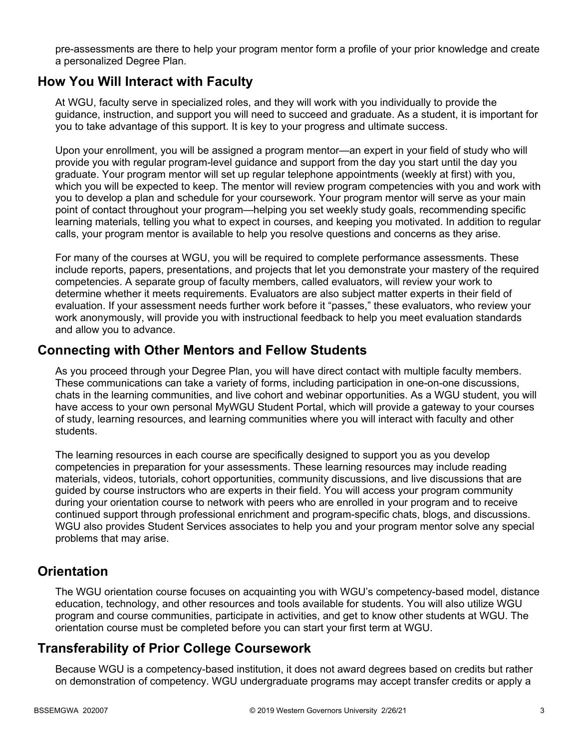pre-assessments are there to help your program mentor form a profile of your prior knowledge and create a personalized Degree Plan.

### **How You Will Interact with Faculty**

At WGU, faculty serve in specialized roles, and they will work with you individually to provide the guidance, instruction, and support you will need to succeed and graduate. As a student, it is important for you to take advantage of this support. It is key to your progress and ultimate success.

Upon your enrollment, you will be assigned a program mentor—an expert in your field of study who will provide you with regular program-level guidance and support from the day you start until the day you graduate. Your program mentor will set up regular telephone appointments (weekly at first) with you, which you will be expected to keep. The mentor will review program competencies with you and work with you to develop a plan and schedule for your coursework. Your program mentor will serve as your main point of contact throughout your program—helping you set weekly study goals, recommending specific learning materials, telling you what to expect in courses, and keeping you motivated. In addition to regular calls, your program mentor is available to help you resolve questions and concerns as they arise.

For many of the courses at WGU, you will be required to complete performance assessments. These include reports, papers, presentations, and projects that let you demonstrate your mastery of the required competencies. A separate group of faculty members, called evaluators, will review your work to determine whether it meets requirements. Evaluators are also subject matter experts in their field of evaluation. If your assessment needs further work before it "passes," these evaluators, who review your work anonymously, will provide you with instructional feedback to help you meet evaluation standards and allow you to advance.

### **Connecting with Other Mentors and Fellow Students**

As you proceed through your Degree Plan, you will have direct contact with multiple faculty members. These communications can take a variety of forms, including participation in one-on-one discussions, chats in the learning communities, and live cohort and webinar opportunities. As a WGU student, you will have access to your own personal MyWGU Student Portal, which will provide a gateway to your courses of study, learning resources, and learning communities where you will interact with faculty and other students.

The learning resources in each course are specifically designed to support you as you develop competencies in preparation for your assessments. These learning resources may include reading materials, videos, tutorials, cohort opportunities, community discussions, and live discussions that are guided by course instructors who are experts in their field. You will access your program community during your orientation course to network with peers who are enrolled in your program and to receive continued support through professional enrichment and program-specific chats, blogs, and discussions. WGU also provides Student Services associates to help you and your program mentor solve any special problems that may arise.

### **Orientation**

The WGU orientation course focuses on acquainting you with WGU's competency-based model, distance education, technology, and other resources and tools available for students. You will also utilize WGU program and course communities, participate in activities, and get to know other students at WGU. The orientation course must be completed before you can start your first term at WGU.

### **Transferability of Prior College Coursework**

Because WGU is a competency-based institution, it does not award degrees based on credits but rather on demonstration of competency. WGU undergraduate programs may accept transfer credits or apply a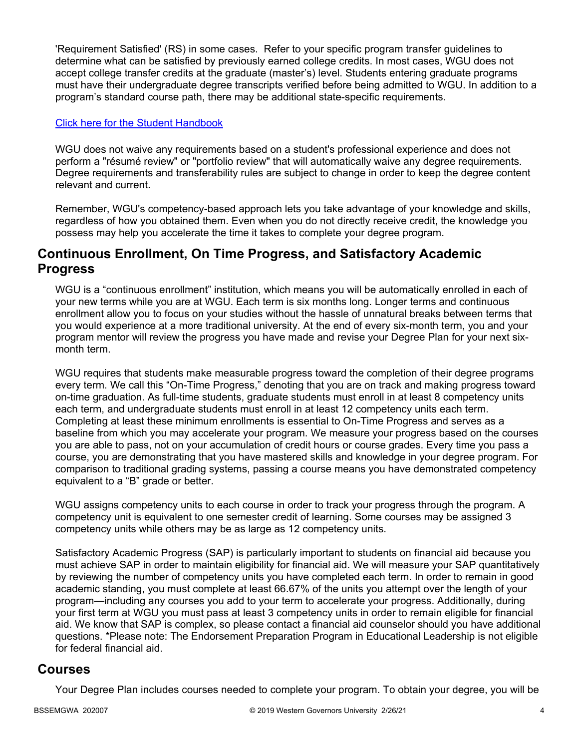'Requirement Satisfied' (RS) in some cases. Refer to your specific program transfer guidelines to determine what can be satisfied by previously earned college credits. In most cases, WGU does not accept college transfer credits at the graduate (master's) level. Students entering graduate programs must have their undergraduate degree transcripts verified before being admitted to WGU. In addition to a program's standard course path, there may be additional state-specific requirements.

### [Click here for the Student Handbook](http://cm.wgu.edu/)

WGU does not waive any requirements based on a student's professional experience and does not perform a "résumé review" or "portfolio review" that will automatically waive any degree requirements. Degree requirements and transferability rules are subject to change in order to keep the degree content relevant and current.

Remember, WGU's competency-based approach lets you take advantage of your knowledge and skills, regardless of how you obtained them. Even when you do not directly receive credit, the knowledge you possess may help you accelerate the time it takes to complete your degree program.

### **Continuous Enrollment, On Time Progress, and Satisfactory Academic Progress**

WGU is a "continuous enrollment" institution, which means you will be automatically enrolled in each of your new terms while you are at WGU. Each term is six months long. Longer terms and continuous enrollment allow you to focus on your studies without the hassle of unnatural breaks between terms that you would experience at a more traditional university. At the end of every six-month term, you and your program mentor will review the progress you have made and revise your Degree Plan for your next sixmonth term.

WGU requires that students make measurable progress toward the completion of their degree programs every term. We call this "On-Time Progress," denoting that you are on track and making progress toward on-time graduation. As full-time students, graduate students must enroll in at least 8 competency units each term, and undergraduate students must enroll in at least 12 competency units each term. Completing at least these minimum enrollments is essential to On-Time Progress and serves as a baseline from which you may accelerate your program. We measure your progress based on the courses you are able to pass, not on your accumulation of credit hours or course grades. Every time you pass a course, you are demonstrating that you have mastered skills and knowledge in your degree program. For comparison to traditional grading systems, passing a course means you have demonstrated competency equivalent to a "B" grade or better.

WGU assigns competency units to each course in order to track your progress through the program. A competency unit is equivalent to one semester credit of learning. Some courses may be assigned 3 competency units while others may be as large as 12 competency units.

Satisfactory Academic Progress (SAP) is particularly important to students on financial aid because you must achieve SAP in order to maintain eligibility for financial aid. We will measure your SAP quantitatively by reviewing the number of competency units you have completed each term. In order to remain in good academic standing, you must complete at least 66.67% of the units you attempt over the length of your program—including any courses you add to your term to accelerate your progress. Additionally, during your first term at WGU you must pass at least 3 competency units in order to remain eligible for financial aid. We know that SAP is complex, so please contact a financial aid counselor should you have additional questions. \*Please note: The Endorsement Preparation Program in Educational Leadership is not eligible for federal financial aid.

### **Courses**

Your Degree Plan includes courses needed to complete your program. To obtain your degree, you will be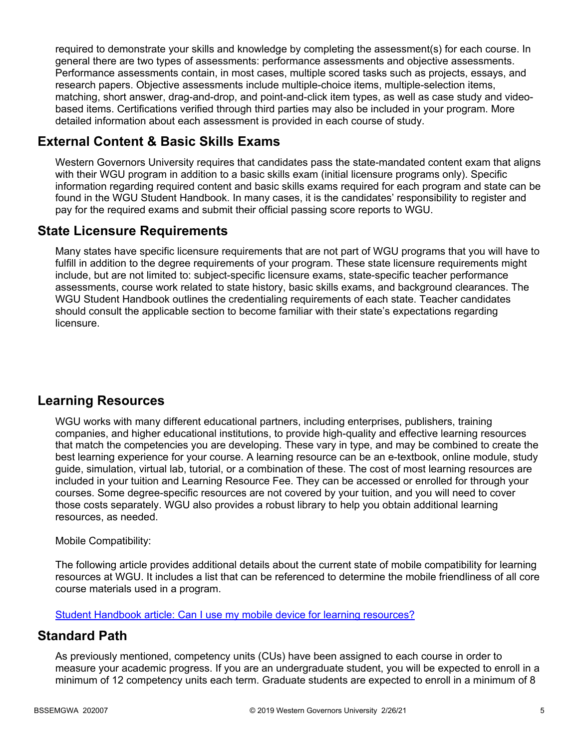required to demonstrate your skills and knowledge by completing the assessment(s) for each course. In general there are two types of assessments: performance assessments and objective assessments. Performance assessments contain, in most cases, multiple scored tasks such as projects, essays, and research papers. Objective assessments include multiple-choice items, multiple-selection items, matching, short answer, drag-and-drop, and point-and-click item types, as well as case study and videobased items. Certifications verified through third parties may also be included in your program. More detailed information about each assessment is provided in each course of study.

## **External Content & Basic Skills Exams**

Western Governors University requires that candidates pass the state-mandated content exam that aligns with their WGU program in addition to a basic skills exam (initial licensure programs only). Specific information regarding required content and basic skills exams required for each program and state can be found in the WGU Student Handbook. In many cases, it is the candidates' responsibility to register and pay for the required exams and submit their official passing score reports to WGU.

### **State Licensure Requirements**

Many states have specific licensure requirements that are not part of WGU programs that you will have to fulfill in addition to the degree requirements of your program. These state licensure requirements might include, but are not limited to: subject-specific licensure exams, state-specific teacher performance assessments, course work related to state history, basic skills exams, and background clearances. The WGU Student Handbook outlines the credentialing requirements of each state. Teacher candidates should consult the applicable section to become familiar with their state's expectations regarding licensure.

## **Learning Resources**

WGU works with many different educational partners, including enterprises, publishers, training companies, and higher educational institutions, to provide high-quality and effective learning resources that match the competencies you are developing. These vary in type, and may be combined to create the best learning experience for your course. A learning resource can be an e-textbook, online module, study guide, simulation, virtual lab, tutorial, or a combination of these. The cost of most learning resources are included in your tuition and Learning Resource Fee. They can be accessed or enrolled for through your courses. Some degree-specific resources are not covered by your tuition, and you will need to cover those costs separately. WGU also provides a robust library to help you obtain additional learning resources, as needed.

### Mobile Compatibility:

The following article provides additional details about the current state of mobile compatibility for learning resources at WGU. It includes a list that can be referenced to determine the mobile friendliness of all core course materials used in a program.

[Student Handbook article: Can I use my mobile device for learning resources?](https://cm.wgu.edu/t5/Frequently-Asked-Questions/Can-I-use-my-mobile-device-for-learning-resources/ta-p/396)

### **Standard Path**

As previously mentioned, competency units (CUs) have been assigned to each course in order to measure your academic progress. If you are an undergraduate student, you will be expected to enroll in a minimum of 12 competency units each term. Graduate students are expected to enroll in a minimum of 8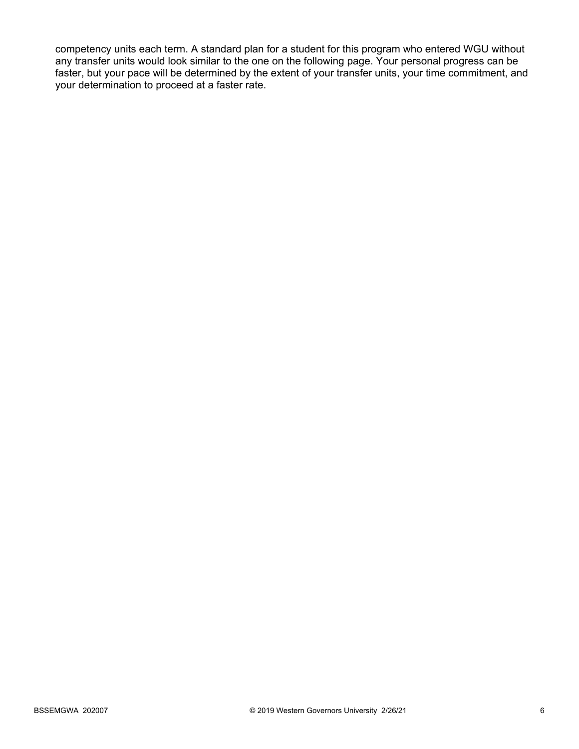competency units each term. A standard plan for a student for this program who entered WGU without any transfer units would look similar to the one on the following page. Your personal progress can be faster, but your pace will be determined by the extent of your transfer units, your time commitment, and your determination to proceed at a faster rate.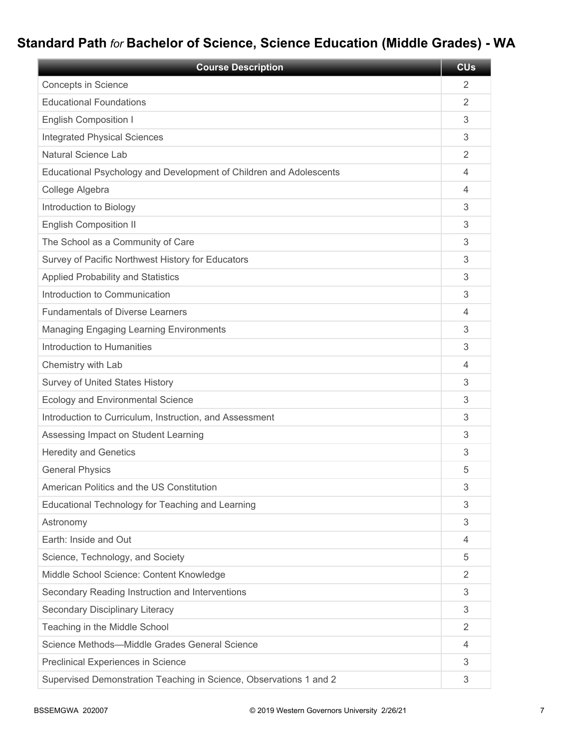# **Standard Path** *for* **Bachelor of Science, Science Education (Middle Grades) - WA**

| <b>Course Description</b>                                          | <b>CU<sub>s</sub></b> |
|--------------------------------------------------------------------|-----------------------|
| <b>Concepts in Science</b>                                         | 2                     |
| <b>Educational Foundations</b>                                     | 2                     |
| <b>English Composition I</b>                                       | 3                     |
| <b>Integrated Physical Sciences</b>                                | 3                     |
| Natural Science Lab                                                | 2                     |
| Educational Psychology and Development of Children and Adolescents | 4                     |
| College Algebra                                                    | 4                     |
| Introduction to Biology                                            | 3                     |
| <b>English Composition II</b>                                      | 3                     |
| The School as a Community of Care                                  | 3                     |
| Survey of Pacific Northwest History for Educators                  | 3                     |
| <b>Applied Probability and Statistics</b>                          | 3                     |
| Introduction to Communication                                      | 3                     |
| <b>Fundamentals of Diverse Learners</b>                            | 4                     |
| <b>Managing Engaging Learning Environments</b>                     | 3                     |
| Introduction to Humanities                                         | 3                     |
| Chemistry with Lab                                                 | 4                     |
| <b>Survey of United States History</b>                             | 3                     |
| <b>Ecology and Environmental Science</b>                           | 3                     |
| Introduction to Curriculum, Instruction, and Assessment            | 3                     |
| Assessing Impact on Student Learning                               | 3                     |
| <b>Heredity and Genetics</b>                                       | 3                     |
| <b>General Physics</b>                                             | 5                     |
| American Politics and the US Constitution                          | 3                     |
| Educational Technology for Teaching and Learning                   | 3                     |
| Astronomy                                                          | 3                     |
| Earth: Inside and Out                                              | 4                     |
| Science, Technology, and Society                                   | 5                     |
| Middle School Science: Content Knowledge                           | 2                     |
| Secondary Reading Instruction and Interventions                    | 3                     |
| Secondary Disciplinary Literacy                                    | 3                     |
| Teaching in the Middle School                                      | 2                     |
| Science Methods-Middle Grades General Science                      | 4                     |
| Preclinical Experiences in Science                                 | 3                     |
| Supervised Demonstration Teaching in Science, Observations 1 and 2 | 3                     |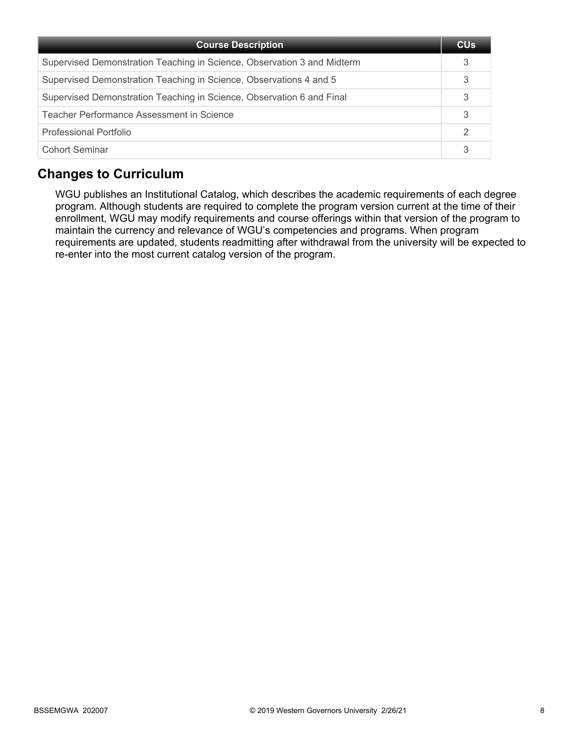| <b>Course Description</b>                                               | <b>CU<sub>s</sub></b> |
|-------------------------------------------------------------------------|-----------------------|
| Supervised Demonstration Teaching in Science, Observation 3 and Midterm |                       |
| Supervised Demonstration Teaching in Science, Observations 4 and 5      | 3                     |
| Supervised Demonstration Teaching in Science, Observation 6 and Final   | 3                     |
| Teacher Performance Assessment in Science                               | 3                     |
| Professional Portfolio                                                  |                       |
| <b>Cohort Seminar</b>                                                   |                       |

## **Changes to Curriculum**

WGU publishes an Institutional Catalog, which describes the academic requirements of each degree program. Although students are required to complete the program version current at the time of their enrollment, WGU may modify requirements and course offerings within that version of the program to maintain the currency and relevance of WGU's competencies and programs. When program requirements are updated, students readmitting after withdrawal from the university will be expected to re-enter into the most current catalog version of the program.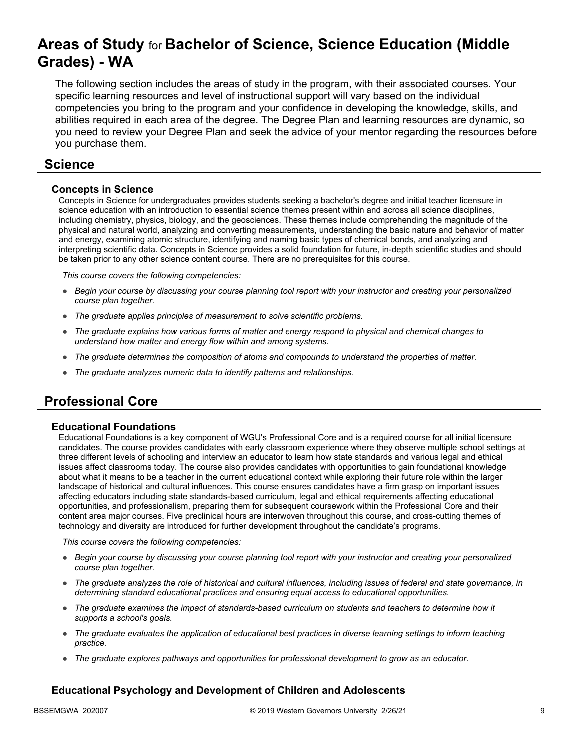# **Areas of Study** for **Bachelor of Science, Science Education (Middle Grades) - WA**

The following section includes the areas of study in the program, with their associated courses. Your specific learning resources and level of instructional support will vary based on the individual competencies you bring to the program and your confidence in developing the knowledge, skills, and abilities required in each area of the degree. The Degree Plan and learning resources are dynamic, so you need to review your Degree Plan and seek the advice of your mentor regarding the resources before you purchase them.

### **Science**

### **Concepts in Science**

Concepts in Science for undergraduates provides students seeking a bachelor's degree and initial teacher licensure in science education with an introduction to essential science themes present within and across all science disciplines, including chemistry, physics, biology, and the geosciences. These themes include comprehending the magnitude of the physical and natural world, analyzing and converting measurements, understanding the basic nature and behavior of matter and energy, examining atomic structure, identifying and naming basic types of chemical bonds, and analyzing and interpreting scientific data. Concepts in Science provides a solid foundation for future, in-depth scientific studies and should be taken prior to any other science content course. There are no prerequisites for this course.

*This course covers the following competencies:*

- *Begin your course by discussing your course planning tool report with your instructor and creating your personalized course plan together.*
- *The graduate applies principles of measurement to solve scientific problems.*
- *The graduate explains how various forms of matter and energy respond to physical and chemical changes to understand how matter and energy flow within and among systems.*
- *The graduate determines the composition of atoms and compounds to understand the properties of matter.*
- *The graduate analyzes numeric data to identify patterns and relationships.*

# **Professional Core**

### **Educational Foundations**

Educational Foundations is a key component of WGU's Professional Core and is a required course for all initial licensure candidates. The course provides candidates with early classroom experience where they observe multiple school settings at three different levels of schooling and interview an educator to learn how state standards and various legal and ethical issues affect classrooms today. The course also provides candidates with opportunities to gain foundational knowledge about what it means to be a teacher in the current educational context while exploring their future role within the larger landscape of historical and cultural influences. This course ensures candidates have a firm grasp on important issues affecting educators including state standards-based curriculum, legal and ethical requirements affecting educational opportunities, and professionalism, preparing them for subsequent coursework within the Professional Core and their content area major courses. Five preclinical hours are interwoven throughout this course, and cross-cutting themes of technology and diversity are introduced for further development throughout the candidate's programs.

*This course covers the following competencies:*

- *Begin your course by discussing your course planning tool report with your instructor and creating your personalized course plan together.*
- *The graduate analyzes the role of historical and cultural influences, including issues of federal and state governance, in determining standard educational practices and ensuring equal access to educational opportunities.*
- *The graduate examines the impact of standards-based curriculum on students and teachers to determine how it supports a school's goals.*
- *The graduate evaluates the application of educational best practices in diverse learning settings to inform teaching practice.*
- *The graduate explores pathways and opportunities for professional development to grow as an educator.*

### **Educational Psychology and Development of Children and Adolescents**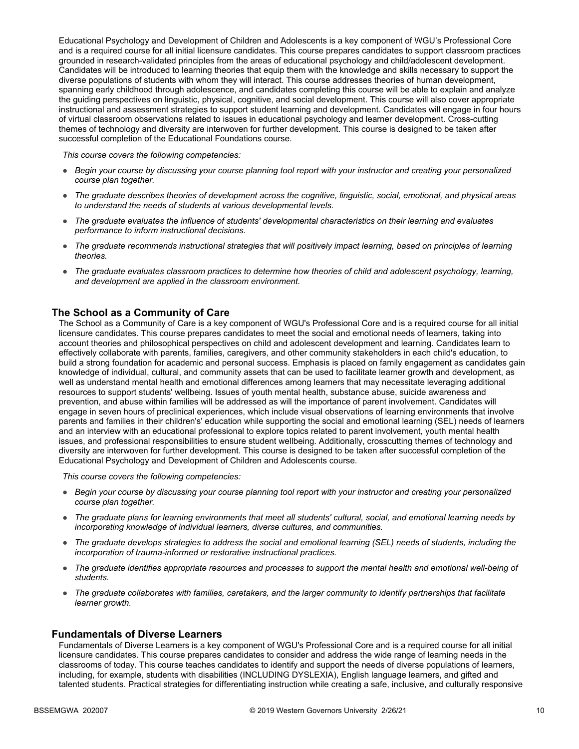Educational Psychology and Development of Children and Adolescents is a key component of WGU's Professional Core and is a required course for all initial licensure candidates. This course prepares candidates to support classroom practices grounded in research-validated principles from the areas of educational psychology and child/adolescent development. Candidates will be introduced to learning theories that equip them with the knowledge and skills necessary to support the diverse populations of students with whom they will interact. This course addresses theories of human development, spanning early childhood through adolescence, and candidates completing this course will be able to explain and analyze the guiding perspectives on linguistic, physical, cognitive, and social development. This course will also cover appropriate instructional and assessment strategies to support student learning and development. Candidates will engage in four hours of virtual classroom observations related to issues in educational psychology and learner development. Cross-cutting themes of technology and diversity are interwoven for further development. This course is designed to be taken after successful completion of the Educational Foundations course.

*This course covers the following competencies:*

- *Begin your course by discussing your course planning tool report with your instructor and creating your personalized course plan together.*
- *The graduate describes theories of development across the cognitive, linguistic, social, emotional, and physical areas to understand the needs of students at various developmental levels.*
- *The graduate evaluates the influence of students' developmental characteristics on their learning and evaluates performance to inform instructional decisions.*
- *The graduate recommends instructional strategies that will positively impact learning, based on principles of learning theories.*
- *The graduate evaluates classroom practices to determine how theories of child and adolescent psychology, learning, and development are applied in the classroom environment.*

### **The School as a Community of Care**

The School as a Community of Care is a key component of WGU's Professional Core and is a required course for all initial licensure candidates. This course prepares candidates to meet the social and emotional needs of learners, taking into account theories and philosophical perspectives on child and adolescent development and learning. Candidates learn to effectively collaborate with parents, families, caregivers, and other community stakeholders in each child's education, to build a strong foundation for academic and personal success. Emphasis is placed on family engagement as candidates gain knowledge of individual, cultural, and community assets that can be used to facilitate learner growth and development, as well as understand mental health and emotional differences among learners that may necessitate leveraging additional resources to support students' wellbeing. Issues of youth mental health, substance abuse, suicide awareness and prevention, and abuse within families will be addressed as will the importance of parent involvement. Candidates will engage in seven hours of preclinical experiences, which include visual observations of learning environments that involve parents and families in their children's' education while supporting the social and emotional learning (SEL) needs of learners and an interview with an educational professional to explore topics related to parent involvement, youth mental health issues, and professional responsibilities to ensure student wellbeing. Additionally, crosscutting themes of technology and diversity are interwoven for further development. This course is designed to be taken after successful completion of the Educational Psychology and Development of Children and Adolescents course.

*This course covers the following competencies:*

- *Begin your course by discussing your course planning tool report with your instructor and creating your personalized course plan together.*
- *The graduate plans for learning environments that meet all students' cultural, social, and emotional learning needs by incorporating knowledge of individual learners, diverse cultures, and communities.*
- *The graduate develops strategies to address the social and emotional learning (SEL) needs of students, including the incorporation of trauma-informed or restorative instructional practices.*
- *The graduate identifies appropriate resources and processes to support the mental health and emotional well-being of students.*
- *The graduate collaborates with families, caretakers, and the larger community to identify partnerships that facilitate learner growth.*

### **Fundamentals of Diverse Learners**

Fundamentals of Diverse Learners is a key component of WGU's Professional Core and is a required course for all initial licensure candidates. This course prepares candidates to consider and address the wide range of learning needs in the classrooms of today. This course teaches candidates to identify and support the needs of diverse populations of learners, including, for example, students with disabilities (INCLUDING DYSLEXIA), English language learners, and gifted and talented students. Practical strategies for differentiating instruction while creating a safe, inclusive, and culturally responsive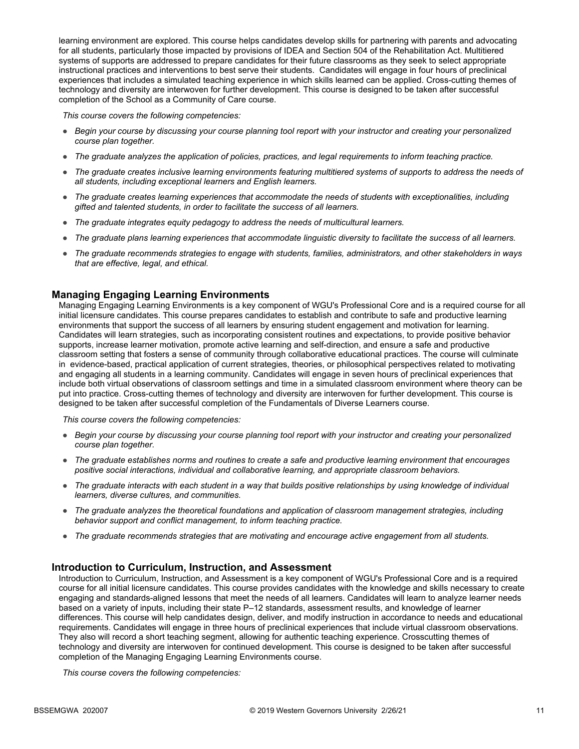learning environment are explored. This course helps candidates develop skills for partnering with parents and advocating for all students, particularly those impacted by provisions of IDEA and Section 504 of the Rehabilitation Act. Multitiered systems of supports are addressed to prepare candidates for their future classrooms as they seek to select appropriate instructional practices and interventions to best serve their students. Candidates will engage in four hours of preclinical experiences that includes a simulated teaching experience in which skills learned can be applied. Cross-cutting themes of technology and diversity are interwoven for further development. This course is designed to be taken after successful completion of the School as a Community of Care course.

*This course covers the following competencies:*

- *Begin your course by discussing your course planning tool report with your instructor and creating your personalized course plan together.*
- *The graduate analyzes the application of policies, practices, and legal requirements to inform teaching practice.*
- *The graduate creates inclusive learning environments featuring multitiered systems of supports to address the needs of all students, including exceptional learners and English learners.*
- *The graduate creates learning experiences that accommodate the needs of students with exceptionalities, including gifted and talented students, in order to facilitate the success of all learners.*
- *The graduate integrates equity pedagogy to address the needs of multicultural learners.*
- *The graduate plans learning experiences that accommodate linguistic diversity to facilitate the success of all learners.*
- *The graduate recommends strategies to engage with students, families, administrators, and other stakeholders in ways that are effective, legal, and ethical.*

### **Managing Engaging Learning Environments**

Managing Engaging Learning Environments is a key component of WGU's Professional Core and is a required course for all initial licensure candidates. This course prepares candidates to establish and contribute to safe and productive learning environments that support the success of all learners by ensuring student engagement and motivation for learning. Candidates will learn strategies, such as incorporating consistent routines and expectations, to provide positive behavior supports, increase learner motivation, promote active learning and self-direction, and ensure a safe and productive classroom setting that fosters a sense of community through collaborative educational practices. The course will culminate in evidence-based, practical application of current strategies, theories, or philosophical perspectives related to motivating and engaging all students in a learning community. Candidates will engage in seven hours of preclinical experiences that include both virtual observations of classroom settings and time in a simulated classroom environment where theory can be put into practice. Cross-cutting themes of technology and diversity are interwoven for further development. This course is designed to be taken after successful completion of the Fundamentals of Diverse Learners course.

*This course covers the following competencies:*

- *Begin your course by discussing your course planning tool report with your instructor and creating your personalized course plan together.*
- *The graduate establishes norms and routines to create a safe and productive learning environment that encourages positive social interactions, individual and collaborative learning, and appropriate classroom behaviors.*
- *The graduate interacts with each student in a way that builds positive relationships by using knowledge of individual learners, diverse cultures, and communities.*
- *The graduate analyzes the theoretical foundations and application of classroom management strategies, including behavior support and conflict management, to inform teaching practice.*
- *The graduate recommends strategies that are motivating and encourage active engagement from all students.*

#### **Introduction to Curriculum, Instruction, and Assessment**

Introduction to Curriculum, Instruction, and Assessment is a key component of WGU's Professional Core and is a required course for all initial licensure candidates. This course provides candidates with the knowledge and skills necessary to create engaging and standards-aligned lessons that meet the needs of all learners. Candidates will learn to analyze learner needs based on a variety of inputs, including their state P–12 standards, assessment results, and knowledge of learner differences. This course will help candidates design, deliver, and modify instruction in accordance to needs and educational requirements. Candidates will engage in three hours of preclinical experiences that include virtual classroom observations. They also will record a short teaching segment, allowing for authentic teaching experience. Crosscutting themes of technology and diversity are interwoven for continued development. This course is designed to be taken after successful completion of the Managing Engaging Learning Environments course.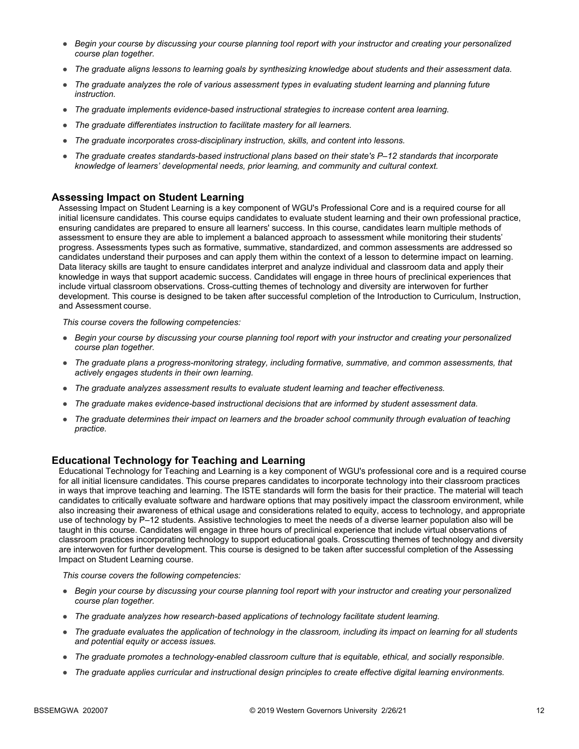- *Begin your course by discussing your course planning tool report with your instructor and creating your personalized course plan together.*
- *The graduate aligns lessons to learning goals by synthesizing knowledge about students and their assessment data.*
- *The graduate analyzes the role of various assessment types in evaluating student learning and planning future instruction.*
- *The graduate implements evidence-based instructional strategies to increase content area learning.*
- *The graduate differentiates instruction to facilitate mastery for all learners.*
- *The graduate incorporates cross-disciplinary instruction, skills, and content into lessons.*
- *The graduate creates standards-based instructional plans based on their state's P–12 standards that incorporate knowledge of learners' developmental needs, prior learning, and community and cultural context.*

### **Assessing Impact on Student Learning**

Assessing Impact on Student Learning is a key component of WGU's Professional Core and is a required course for all initial licensure candidates. This course equips candidates to evaluate student learning and their own professional practice, ensuring candidates are prepared to ensure all learners' success. In this course, candidates learn multiple methods of assessment to ensure they are able to implement a balanced approach to assessment while monitoring their students' progress. Assessments types such as formative, summative, standardized, and common assessments are addressed so candidates understand their purposes and can apply them within the context of a lesson to determine impact on learning. Data literacy skills are taught to ensure candidates interpret and analyze individual and classroom data and apply their knowledge in ways that support academic success. Candidates will engage in three hours of preclinical experiences that include virtual classroom observations. Cross-cutting themes of technology and diversity are interwoven for further development. This course is designed to be taken after successful completion of the Introduction to Curriculum, Instruction, and Assessment course.

*This course covers the following competencies:*

- *Begin your course by discussing your course planning tool report with your instructor and creating your personalized course plan together.*
- *The graduate plans a progress-monitoring strategy, including formative, summative, and common assessments, that actively engages students in their own learning.*
- *The graduate analyzes assessment results to evaluate student learning and teacher effectiveness.*
- *The graduate makes evidence-based instructional decisions that are informed by student assessment data.*
- *The graduate determines their impact on learners and the broader school community through evaluation of teaching practice.*

### **Educational Technology for Teaching and Learning**

Educational Technology for Teaching and Learning is a key component of WGU's professional core and is a required course for all initial licensure candidates. This course prepares candidates to incorporate technology into their classroom practices in ways that improve teaching and learning. The ISTE standards will form the basis for their practice. The material will teach candidates to critically evaluate software and hardware options that may positively impact the classroom environment, while also increasing their awareness of ethical usage and considerations related to equity, access to technology, and appropriate use of technology by P–12 students. Assistive technologies to meet the needs of a diverse learner population also will be taught in this course. Candidates will engage in three hours of preclinical experience that include virtual observations of classroom practices incorporating technology to support educational goals. Crosscutting themes of technology and diversity are interwoven for further development. This course is designed to be taken after successful completion of the Assessing Impact on Student Learning course.

- *Begin your course by discussing your course planning tool report with your instructor and creating your personalized course plan together.*
- *The graduate analyzes how research-based applications of technology facilitate student learning.*
- *The graduate evaluates the application of technology in the classroom, including its impact on learning for all students and potential equity or access issues.*
- *The graduate promotes a technology-enabled classroom culture that is equitable, ethical, and socially responsible.*
- *The graduate applies curricular and instructional design principles to create effective digital learning environments.*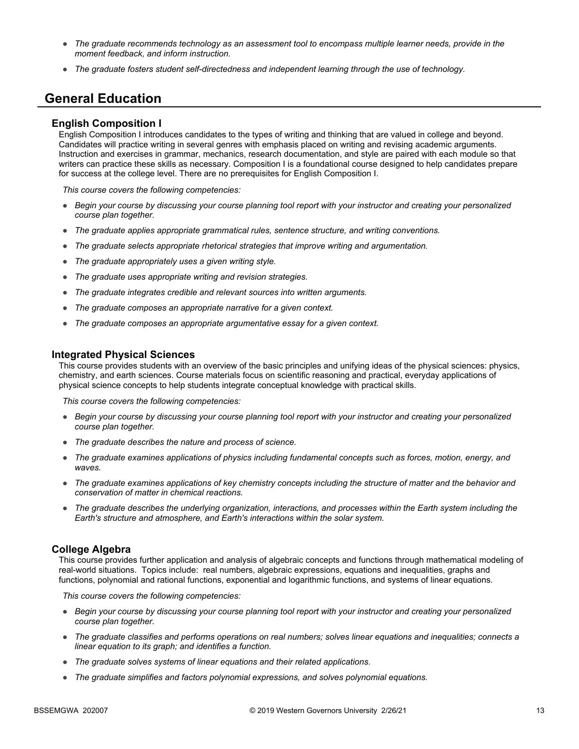- *The graduate recommends technology as an assessment tool to encompass multiple learner needs, provide in the moment feedback, and inform instruction.*
- *The graduate fosters student self-directedness and independent learning through the use of technology.*

### **General Education**

#### **English Composition I**

English Composition I introduces candidates to the types of writing and thinking that are valued in college and beyond. Candidates will practice writing in several genres with emphasis placed on writing and revising academic arguments. Instruction and exercises in grammar, mechanics, research documentation, and style are paired with each module so that writers can practice these skills as necessary. Composition I is a foundational course designed to help candidates prepare for success at the college level. There are no prerequisites for English Composition I.

*This course covers the following competencies:*

- *Begin your course by discussing your course planning tool report with your instructor and creating your personalized course plan together.*
- *The graduate applies appropriate grammatical rules, sentence structure, and writing conventions.*
- *The graduate selects appropriate rhetorical strategies that improve writing and argumentation.*
- *The graduate appropriately uses a given writing style.*
- *The graduate uses appropriate writing and revision strategies.*
- *The graduate integrates credible and relevant sources into written arguments.*
- *The graduate composes an appropriate narrative for a given context.*
- *The graduate composes an appropriate argumentative essay for a given context.*

#### **Integrated Physical Sciences**

This course provides students with an overview of the basic principles and unifying ideas of the physical sciences: physics, chemistry, and earth sciences. Course materials focus on scientific reasoning and practical, everyday applications of physical science concepts to help students integrate conceptual knowledge with practical skills.

*This course covers the following competencies:*

- *Begin your course by discussing your course planning tool report with your instructor and creating your personalized course plan together.*
- *The graduate describes the nature and process of science.*
- *The graduate examines applications of physics including fundamental concepts such as forces, motion, energy, and waves.*
- *The graduate examines applications of key chemistry concepts including the structure of matter and the behavior and conservation of matter in chemical reactions.*
- *The graduate describes the underlying organization, interactions, and processes within the Earth system including the Earth's structure and atmosphere, and Earth's interactions within the solar system.*

#### **College Algebra**

This course provides further application and analysis of algebraic concepts and functions through mathematical modeling of real-world situations. Topics include: real numbers, algebraic expressions, equations and inequalities, graphs and functions, polynomial and rational functions, exponential and logarithmic functions, and systems of linear equations.

- *Begin your course by discussing your course planning tool report with your instructor and creating your personalized course plan together.*
- *The graduate classifies and performs operations on real numbers; solves linear equations and inequalities; connects a linear equation to its graph; and identifies a function.*
- *The graduate solves systems of linear equations and their related applications.*
- *The graduate simplifies and factors polynomial expressions, and solves polynomial equations.*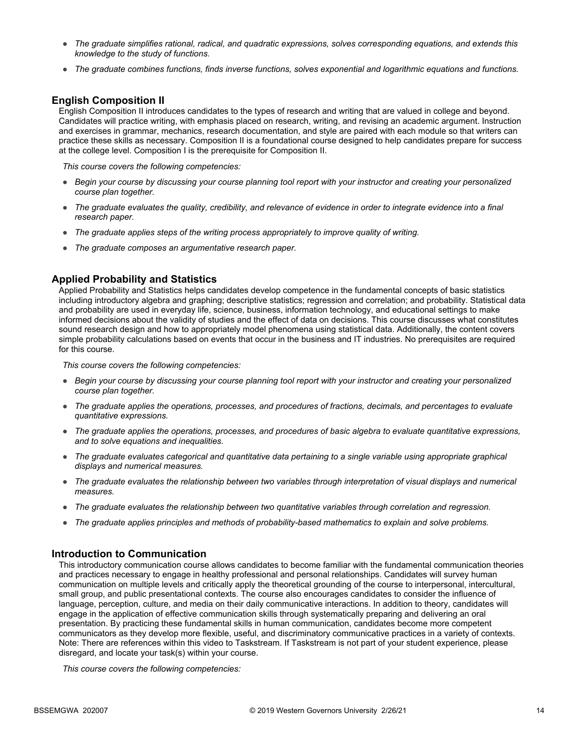- *The graduate simplifies rational, radical, and quadratic expressions, solves corresponding equations, and extends this knowledge to the study of functions.*
- *The graduate combines functions, finds inverse functions, solves exponential and logarithmic equations and functions.*

### **English Composition II**

English Composition II introduces candidates to the types of research and writing that are valued in college and beyond. Candidates will practice writing, with emphasis placed on research, writing, and revising an academic argument. Instruction and exercises in grammar, mechanics, research documentation, and style are paired with each module so that writers can practice these skills as necessary. Composition II is a foundational course designed to help candidates prepare for success at the college level. Composition I is the prerequisite for Composition II.

*This course covers the following competencies:*

- *Begin your course by discussing your course planning tool report with your instructor and creating your personalized course plan together.*
- *The graduate evaluates the quality, credibility, and relevance of evidence in order to integrate evidence into a final research paper.*
- *The graduate applies steps of the writing process appropriately to improve quality of writing.*
- *The graduate composes an argumentative research paper.*

### **Applied Probability and Statistics**

Applied Probability and Statistics helps candidates develop competence in the fundamental concepts of basic statistics including introductory algebra and graphing; descriptive statistics; regression and correlation; and probability. Statistical data and probability are used in everyday life, science, business, information technology, and educational settings to make informed decisions about the validity of studies and the effect of data on decisions. This course discusses what constitutes sound research design and how to appropriately model phenomena using statistical data. Additionally, the content covers simple probability calculations based on events that occur in the business and IT industries. No prerequisites are required for this course.

*This course covers the following competencies:*

- *Begin your course by discussing your course planning tool report with your instructor and creating your personalized course plan together.*
- *The graduate applies the operations, processes, and procedures of fractions, decimals, and percentages to evaluate quantitative expressions.*
- *The graduate applies the operations, processes, and procedures of basic algebra to evaluate quantitative expressions, and to solve equations and inequalities.*
- *The graduate evaluates categorical and quantitative data pertaining to a single variable using appropriate graphical displays and numerical measures.*
- *The graduate evaluates the relationship between two variables through interpretation of visual displays and numerical measures.*
- *The graduate evaluates the relationship between two quantitative variables through correlation and regression.*
- *The graduate applies principles and methods of probability-based mathematics to explain and solve problems.*

### **Introduction to Communication**

This introductory communication course allows candidates to become familiar with the fundamental communication theories and practices necessary to engage in healthy professional and personal relationships. Candidates will survey human communication on multiple levels and critically apply the theoretical grounding of the course to interpersonal, intercultural, small group, and public presentational contexts. The course also encourages candidates to consider the influence of language, perception, culture, and media on their daily communicative interactions. In addition to theory, candidates will engage in the application of effective communication skills through systematically preparing and delivering an oral presentation. By practicing these fundamental skills in human communication, candidates become more competent communicators as they develop more flexible, useful, and discriminatory communicative practices in a variety of contexts. Note: There are references within this video to Taskstream. If Taskstream is not part of your student experience, please disregard, and locate your task(s) within your course.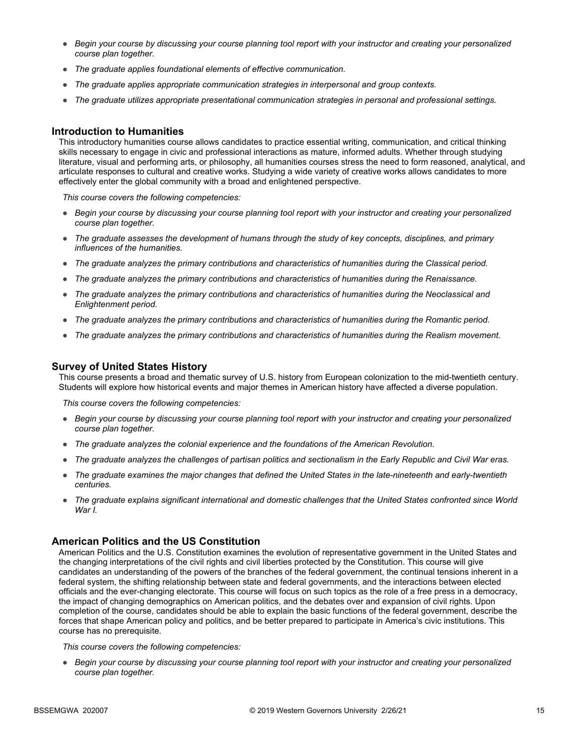- *Begin your course by discussing your course planning tool report with your instructor and creating your personalized course plan together.*
- *The graduate applies foundational elements of effective communication.*
- *The graduate applies appropriate communication strategies in interpersonal and group contexts.*
- *The graduate utilizes appropriate presentational communication strategies in personal and professional settings.*

#### **Introduction to Humanities**

This introductory humanities course allows candidates to practice essential writing, communication, and critical thinking skills necessary to engage in civic and professional interactions as mature, informed adults. Whether through studying literature, visual and performing arts, or philosophy, all humanities courses stress the need to form reasoned, analytical, and articulate responses to cultural and creative works. Studying a wide variety of creative works allows candidates to more effectively enter the global community with a broad and enlightened perspective.

*This course covers the following competencies:*

- *Begin your course by discussing your course planning tool report with your instructor and creating your personalized course plan together.*
- *The graduate assesses the development of humans through the study of key concepts, disciplines, and primary influences of the humanities.*
- *The graduate analyzes the primary contributions and characteristics of humanities during the Classical period.*
- *The graduate analyzes the primary contributions and characteristics of humanities during the Renaissance.*
- *The graduate analyzes the primary contributions and characteristics of humanities during the Neoclassical and Enlightenment period.*
- *The graduate analyzes the primary contributions and characteristics of humanities during the Romantic period.*
- *The graduate analyzes the primary contributions and characteristics of humanities during the Realism movement.*

#### **Survey of United States History**

This course presents a broad and thematic survey of U.S. history from European colonization to the mid-twentieth century. Students will explore how historical events and major themes in American history have affected a diverse population.

*This course covers the following competencies:*

- *Begin your course by discussing your course planning tool report with your instructor and creating your personalized course plan together.*
- *The graduate analyzes the colonial experience and the foundations of the American Revolution.*
- *The graduate analyzes the challenges of partisan politics and sectionalism in the Early Republic and Civil War eras.*
- *The graduate examines the major changes that defined the United States in the late-nineteenth and early-twentieth centuries.*
- *The graduate explains significant international and domestic challenges that the United States confronted since World War I.*

### **American Politics and the US Constitution**

American Politics and the U.S. Constitution examines the evolution of representative government in the United States and the changing interpretations of the civil rights and civil liberties protected by the Constitution. This course will give candidates an understanding of the powers of the branches of the federal government, the continual tensions inherent in a federal system, the shifting relationship between state and federal governments, and the interactions between elected officials and the ever-changing electorate. This course will focus on such topics as the role of a free press in a democracy, the impact of changing demographics on American politics, and the debates over and expansion of civil rights. Upon completion of the course, candidates should be able to explain the basic functions of the federal government, describe the forces that shape American policy and politics, and be better prepared to participate in America's civic institutions. This course has no prerequisite.

*This course covers the following competencies:*

● *Begin your course by discussing your course planning tool report with your instructor and creating your personalized course plan together.*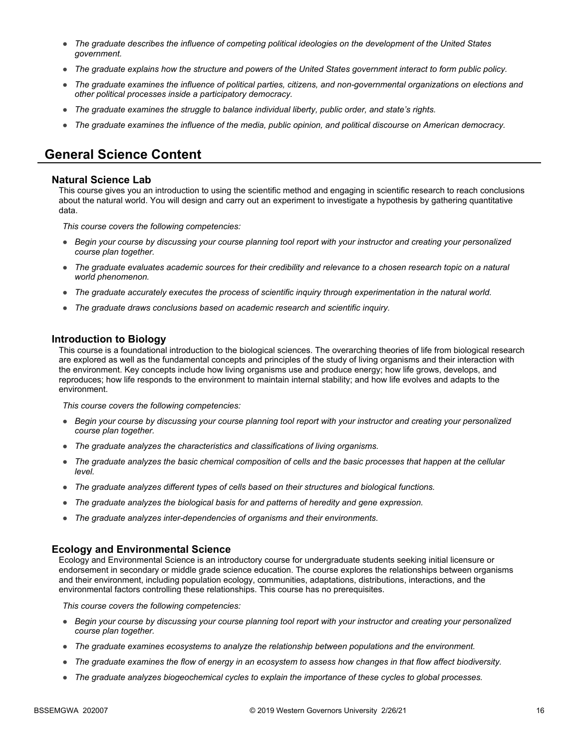- *The graduate describes the influence of competing political ideologies on the development of the United States government.*
- *The graduate explains how the structure and powers of the United States government interact to form public policy.*
- *The graduate examines the influence of political parties, citizens, and non-governmental organizations on elections and other political processes inside a participatory democracy.*
- *The graduate examines the struggle to balance individual liberty, public order, and state's rights.*
- *The graduate examines the influence of the media, public opinion, and political discourse on American democracy.*

### **General Science Content**

#### **Natural Science Lab**

This course gives you an introduction to using the scientific method and engaging in scientific research to reach conclusions about the natural world. You will design and carry out an experiment to investigate a hypothesis by gathering quantitative data.

*This course covers the following competencies:*

- *Begin your course by discussing your course planning tool report with your instructor and creating your personalized course plan together.*
- *The graduate evaluates academic sources for their credibility and relevance to a chosen research topic on a natural world phenomenon.*
- *The graduate accurately executes the process of scientific inquiry through experimentation in the natural world.*
- *The graduate draws conclusions based on academic research and scientific inquiry.*

#### **Introduction to Biology**

This course is a foundational introduction to the biological sciences. The overarching theories of life from biological research are explored as well as the fundamental concepts and principles of the study of living organisms and their interaction with the environment. Key concepts include how living organisms use and produce energy; how life grows, develops, and reproduces; how life responds to the environment to maintain internal stability; and how life evolves and adapts to the environment.

*This course covers the following competencies:*

- *Begin your course by discussing your course planning tool report with your instructor and creating your personalized course plan together.*
- *The graduate analyzes the characteristics and classifications of living organisms.*
- *The graduate analyzes the basic chemical composition of cells and the basic processes that happen at the cellular level.*
- *The graduate analyzes different types of cells based on their structures and biological functions.*
- *The graduate analyzes the biological basis for and patterns of heredity and gene expression.*
- *The graduate analyzes inter-dependencies of organisms and their environments.*

### **Ecology and Environmental Science**

Ecology and Environmental Science is an introductory course for undergraduate students seeking initial licensure or endorsement in secondary or middle grade science education. The course explores the relationships between organisms and their environment, including population ecology, communities, adaptations, distributions, interactions, and the environmental factors controlling these relationships. This course has no prerequisites.

- *Begin your course by discussing your course planning tool report with your instructor and creating your personalized course plan together.*
- *The graduate examines ecosystems to analyze the relationship between populations and the environment.*
- *The graduate examines the flow of energy in an ecosystem to assess how changes in that flow affect biodiversity.*
- *The graduate analyzes biogeochemical cycles to explain the importance of these cycles to global processes.*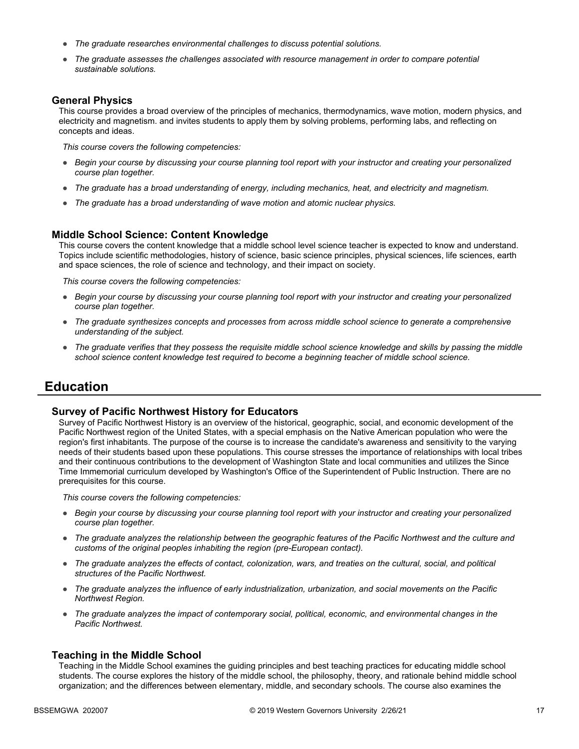- *The graduate researches environmental challenges to discuss potential solutions.*
- *The graduate assesses the challenges associated with resource management in order to compare potential sustainable solutions.*

### **General Physics**

This course provides a broad overview of the principles of mechanics, thermodynamics, wave motion, modern physics, and electricity and magnetism. and invites students to apply them by solving problems, performing labs, and reflecting on concepts and ideas.

*This course covers the following competencies:*

- *Begin your course by discussing your course planning tool report with your instructor and creating your personalized course plan together.*
- *The graduate has a broad understanding of energy, including mechanics, heat, and electricity and magnetism.*
- *The graduate has a broad understanding of wave motion and atomic nuclear physics.*

#### **Middle School Science: Content Knowledge**

This course covers the content knowledge that a middle school level science teacher is expected to know and understand. Topics include scientific methodologies, history of science, basic science principles, physical sciences, life sciences, earth and space sciences, the role of science and technology, and their impact on society.

*This course covers the following competencies:*

- *Begin your course by discussing your course planning tool report with your instructor and creating your personalized course plan together.*
- *The graduate synthesizes concepts and processes from across middle school science to generate a comprehensive understanding of the subject.*
- *The graduate verifies that they possess the requisite middle school science knowledge and skills by passing the middle school science content knowledge test required to become a beginning teacher of middle school science.*

### **Education**

#### **Survey of Pacific Northwest History for Educators**

Survey of Pacific Northwest History is an overview of the historical, geographic, social, and economic development of the Pacific Northwest region of the United States, with a special emphasis on the Native American population who were the region's first inhabitants. The purpose of the course is to increase the candidate's awareness and sensitivity to the varying needs of their students based upon these populations. This course stresses the importance of relationships with local tribes and their continuous contributions to the development of Washington State and local communities and utilizes the Since Time Immemorial curriculum developed by Washington's Office of the Superintendent of Public Instruction. There are no prerequisites for this course.

*This course covers the following competencies:*

- *Begin your course by discussing your course planning tool report with your instructor and creating your personalized course plan together.*
- *The graduate analyzes the relationship between the geographic features of the Pacific Northwest and the culture and customs of the original peoples inhabiting the region (pre-European contact).*
- *The graduate analyzes the effects of contact, colonization, wars, and treaties on the cultural, social, and political structures of the Pacific Northwest.*
- *The graduate analyzes the influence of early industrialization, urbanization, and social movements on the Pacific Northwest Region.*
- *The graduate analyzes the impact of contemporary social, political, economic, and environmental changes in the Pacific Northwest.*

#### **Teaching in the Middle School**

Teaching in the Middle School examines the guiding principles and best teaching practices for educating middle school students. The course explores the history of the middle school, the philosophy, theory, and rationale behind middle school organization; and the differences between elementary, middle, and secondary schools. The course also examines the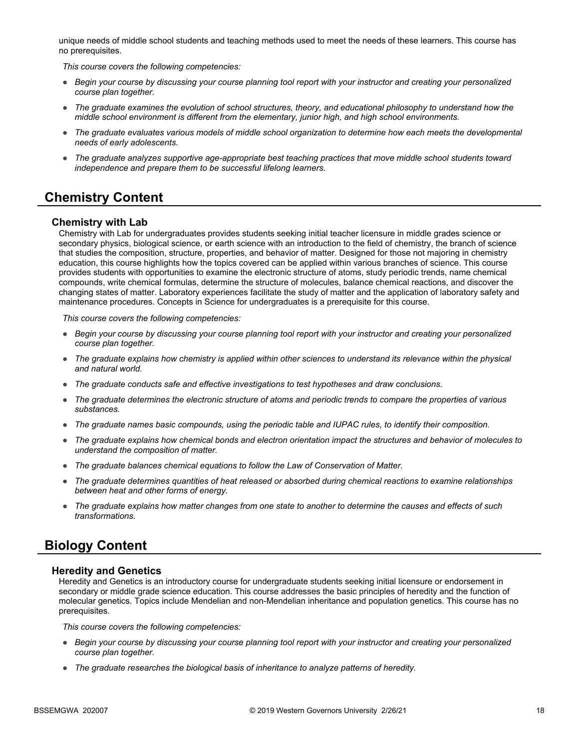unique needs of middle school students and teaching methods used to meet the needs of these learners. This course has no prerequisites.

*This course covers the following competencies:*

- *Begin your course by discussing your course planning tool report with your instructor and creating your personalized course plan together.*
- *The graduate examines the evolution of school structures, theory, and educational philosophy to understand how the middle school environment is different from the elementary, junior high, and high school environments.*
- *The graduate evaluates various models of middle school organization to determine how each meets the developmental needs of early adolescents.*
- *The graduate analyzes supportive age-appropriate best teaching practices that move middle school students toward independence and prepare them to be successful lifelong learners.*

### **Chemistry Content**

#### **Chemistry with Lab**

Chemistry with Lab for undergraduates provides students seeking initial teacher licensure in middle grades science or secondary physics, biological science, or earth science with an introduction to the field of chemistry, the branch of science that studies the composition, structure, properties, and behavior of matter. Designed for those not majoring in chemistry education, this course highlights how the topics covered can be applied within various branches of science. This course provides students with opportunities to examine the electronic structure of atoms, study periodic trends, name chemical compounds, write chemical formulas, determine the structure of molecules, balance chemical reactions, and discover the changing states of matter. Laboratory experiences facilitate the study of matter and the application of laboratory safety and maintenance procedures. Concepts in Science for undergraduates is a prerequisite for this course.

*This course covers the following competencies:*

- *Begin your course by discussing your course planning tool report with your instructor and creating your personalized course plan together.*
- The graduate explains how chemistry is applied within other sciences to understand its relevance within the physical *and natural world.*
- *The graduate conducts safe and effective investigations to test hypotheses and draw conclusions.*
- *The graduate determines the electronic structure of atoms and periodic trends to compare the properties of various substances.*
- *The graduate names basic compounds, using the periodic table and IUPAC rules, to identify their composition.*
- *The graduate explains how chemical bonds and electron orientation impact the structures and behavior of molecules to understand the composition of matter.*
- *The graduate balances chemical equations to follow the Law of Conservation of Matter.*
- *The graduate determines quantities of heat released or absorbed during chemical reactions to examine relationships between heat and other forms of energy.*
- *The graduate explains how matter changes from one state to another to determine the causes and effects of such transformations.*

### **Biology Content**

#### **Heredity and Genetics**

Heredity and Genetics is an introductory course for undergraduate students seeking initial licensure or endorsement in secondary or middle grade science education. This course addresses the basic principles of heredity and the function of molecular genetics. Topics include Mendelian and non-Mendelian inheritance and population genetics. This course has no prerequisites.

- *Begin your course by discussing your course planning tool report with your instructor and creating your personalized course plan together.*
- *The graduate researches the biological basis of inheritance to analyze patterns of heredity.*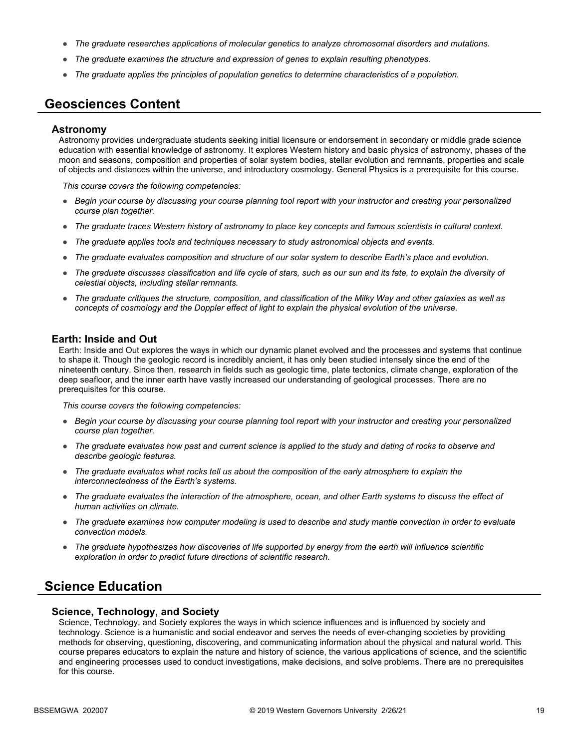- *The graduate researches applications of molecular genetics to analyze chromosomal disorders and mutations.*
- *The graduate examines the structure and expression of genes to explain resulting phenotypes.*
- *The graduate applies the principles of population genetics to determine characteristics of a population.*

### **Geosciences Content**

#### **Astronomy**

Astronomy provides undergraduate students seeking initial licensure or endorsement in secondary or middle grade science education with essential knowledge of astronomy. It explores Western history and basic physics of astronomy, phases of the moon and seasons, composition and properties of solar system bodies, stellar evolution and remnants, properties and scale of objects and distances within the universe, and introductory cosmology. General Physics is a prerequisite for this course.

*This course covers the following competencies:*

- *Begin your course by discussing your course planning tool report with your instructor and creating your personalized course plan together.*
- *The graduate traces Western history of astronomy to place key concepts and famous scientists in cultural context.*
- *The graduate applies tools and techniques necessary to study astronomical objects and events.*
- *The graduate evaluates composition and structure of our solar system to describe Earth's place and evolution.*
- *The graduate discusses classification and life cycle of stars, such as our sun and its fate, to explain the diversity of celestial objects, including stellar remnants.*
- *The graduate critiques the structure, composition, and classification of the Milky Way and other galaxies as well as concepts of cosmology and the Doppler effect of light to explain the physical evolution of the universe.*

#### **Earth: Inside and Out**

Earth: Inside and Out explores the ways in which our dynamic planet evolved and the processes and systems that continue to shape it. Though the geologic record is incredibly ancient, it has only been studied intensely since the end of the nineteenth century. Since then, research in fields such as geologic time, plate tectonics, climate change, exploration of the deep seafloor, and the inner earth have vastly increased our understanding of geological processes. There are no prerequisites for this course.

*This course covers the following competencies:*

- *Begin your course by discussing your course planning tool report with your instructor and creating your personalized course plan together.*
- *The graduate evaluates how past and current science is applied to the study and dating of rocks to observe and describe geologic features.*
- *The graduate evaluates what rocks tell us about the composition of the early atmosphere to explain the interconnectedness of the Earth's systems.*
- *The graduate evaluates the interaction of the atmosphere, ocean, and other Earth systems to discuss the effect of human activities on climate.*
- *The graduate examines how computer modeling is used to describe and study mantle convection in order to evaluate convection models.*
- *The graduate hypothesizes how discoveries of life supported by energy from the earth will influence scientific exploration in order to predict future directions of scientific research.*

### **Science Education**

#### **Science, Technology, and Society**

Science, Technology, and Society explores the ways in which science influences and is influenced by society and technology. Science is a humanistic and social endeavor and serves the needs of ever-changing societies by providing methods for observing, questioning, discovering, and communicating information about the physical and natural world. This course prepares educators to explain the nature and history of science, the various applications of science, and the scientific and engineering processes used to conduct investigations, make decisions, and solve problems. There are no prerequisites for this course.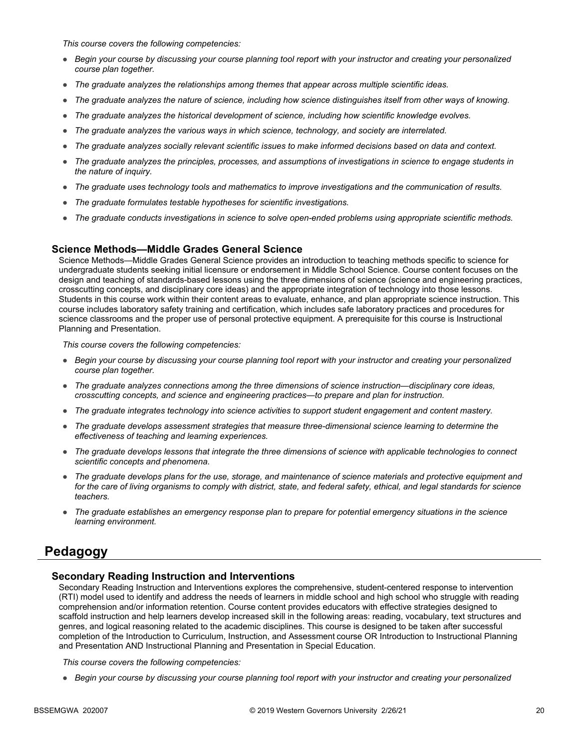*This course covers the following competencies:*

- *Begin your course by discussing your course planning tool report with your instructor and creating your personalized course plan together.*
- *The graduate analyzes the relationships among themes that appear across multiple scientific ideas.*
- *The graduate analyzes the nature of science, including how science distinguishes itself from other ways of knowing.*
- *The graduate analyzes the historical development of science, including how scientific knowledge evolves.*
- *The graduate analyzes the various ways in which science, technology, and society are interrelated.*
- *The graduate analyzes socially relevant scientific issues to make informed decisions based on data and context.*
- *The graduate analyzes the principles, processes, and assumptions of investigations in science to engage students in the nature of inquiry.*
- *The graduate uses technology tools and mathematics to improve investigations and the communication of results.*
- *The graduate formulates testable hypotheses for scientific investigations.*
- *The graduate conducts investigations in science to solve open-ended problems using appropriate scientific methods.*

### **Science Methods—Middle Grades General Science**

Science Methods—Middle Grades General Science provides an introduction to teaching methods specific to science for undergraduate students seeking initial licensure or endorsement in Middle School Science. Course content focuses on the design and teaching of standards-based lessons using the three dimensions of science (science and engineering practices, crosscutting concepts, and disciplinary core ideas) and the appropriate integration of technology into those lessons. Students in this course work within their content areas to evaluate, enhance, and plan appropriate science instruction. This course includes laboratory safety training and certification, which includes safe laboratory practices and procedures for science classrooms and the proper use of personal protective equipment. A prerequisite for this course is Instructional Planning and Presentation.

*This course covers the following competencies:*

- *Begin your course by discussing your course planning tool report with your instructor and creating your personalized course plan together.*
- *The graduate analyzes connections among the three dimensions of science instruction—disciplinary core ideas, crosscutting concepts, and science and engineering practices—to prepare and plan for instruction.*
- *The graduate integrates technology into science activities to support student engagement and content mastery.*
- *The graduate develops assessment strategies that measure three-dimensional science learning to determine the effectiveness of teaching and learning experiences.*
- *The graduate develops lessons that integrate the three dimensions of science with applicable technologies to connect scientific concepts and phenomena.*
- *The graduate develops plans for the use, storage, and maintenance of science materials and protective equipment and for the care of living organisms to comply with district, state, and federal safety, ethical, and legal standards for science teachers.*
- *The graduate establishes an emergency response plan to prepare for potential emergency situations in the science learning environment.*

### **Pedagogy**

### **Secondary Reading Instruction and Interventions**

Secondary Reading Instruction and Interventions explores the comprehensive, student-centered response to intervention (RTI) model used to identify and address the needs of learners in middle school and high school who struggle with reading comprehension and/or information retention. Course content provides educators with effective strategies designed to scaffold instruction and help learners develop increased skill in the following areas: reading, vocabulary, text structures and genres, and logical reasoning related to the academic disciplines. This course is designed to be taken after successful completion of the Introduction to Curriculum, Instruction, and Assessment course OR Introduction to Instructional Planning and Presentation AND Instructional Planning and Presentation in Special Education.

*This course covers the following competencies:*

● *Begin your course by discussing your course planning tool report with your instructor and creating your personalized*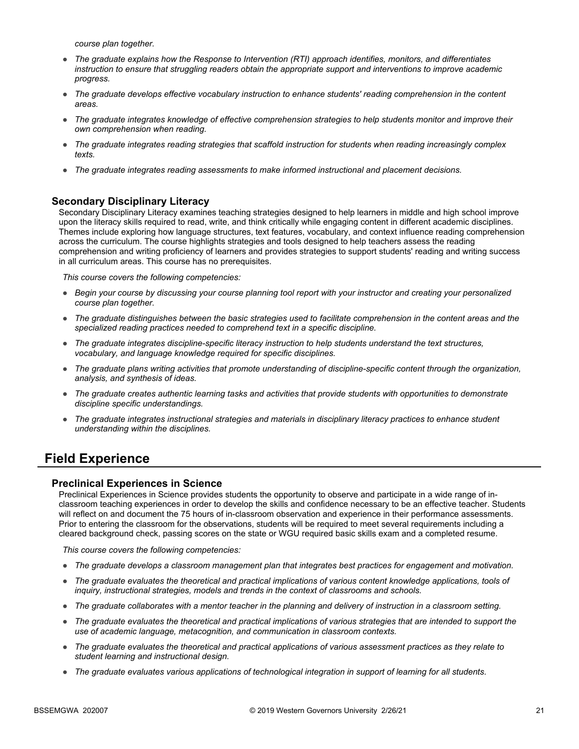*course plan together.*

- *The graduate explains how the Response to Intervention (RTI) approach identifies, monitors, and differentiates instruction to ensure that struggling readers obtain the appropriate support and interventions to improve academic progress.*
- *The graduate develops effective vocabulary instruction to enhance students' reading comprehension in the content areas.*
- *The graduate integrates knowledge of effective comprehension strategies to help students monitor and improve their own comprehension when reading.*
- *The graduate integrates reading strategies that scaffold instruction for students when reading increasingly complex texts.*
- *The graduate integrates reading assessments to make informed instructional and placement decisions.*

### **Secondary Disciplinary Literacy**

Secondary Disciplinary Literacy examines teaching strategies designed to help learners in middle and high school improve upon the literacy skills required to read, write, and think critically while engaging content in different academic disciplines. Themes include exploring how language structures, text features, vocabulary, and context influence reading comprehension across the curriculum. The course highlights strategies and tools designed to help teachers assess the reading comprehension and writing proficiency of learners and provides strategies to support students' reading and writing success in all curriculum areas. This course has no prerequisites.

*This course covers the following competencies:*

- *Begin your course by discussing your course planning tool report with your instructor and creating your personalized course plan together.*
- *The graduate distinguishes between the basic strategies used to facilitate comprehension in the content areas and the specialized reading practices needed to comprehend text in a specific discipline.*
- *The graduate integrates discipline-specific literacy instruction to help students understand the text structures, vocabulary, and language knowledge required for specific disciplines.*
- *The graduate plans writing activities that promote understanding of discipline-specific content through the organization, analysis, and synthesis of ideas.*
- *The graduate creates authentic learning tasks and activities that provide students with opportunities to demonstrate discipline specific understandings.*
- *The graduate integrates instructional strategies and materials in disciplinary literacy practices to enhance student understanding within the disciplines.*

### **Field Experience**

#### **Preclinical Experiences in Science**

Preclinical Experiences in Science provides students the opportunity to observe and participate in a wide range of inclassroom teaching experiences in order to develop the skills and confidence necessary to be an effective teacher. Students will reflect on and document the 75 hours of in-classroom observation and experience in their performance assessments. Prior to entering the classroom for the observations, students will be required to meet several requirements including a cleared background check, passing scores on the state or WGU required basic skills exam and a completed resume.

- *The graduate develops a classroom management plan that integrates best practices for engagement and motivation.*
- The graduate evaluates the theoretical and practical implications of various content knowledge applications, tools of *inquiry, instructional strategies, models and trends in the context of classrooms and schools.*
- *The graduate collaborates with a mentor teacher in the planning and delivery of instruction in a classroom setting.*
- *The graduate evaluates the theoretical and practical implications of various strategies that are intended to support the use of academic language, metacognition, and communication in classroom contexts.*
- *The graduate evaluates the theoretical and practical applications of various assessment practices as they relate to student learning and instructional design.*
- *The graduate evaluates various applications of technological integration in support of learning for all students.*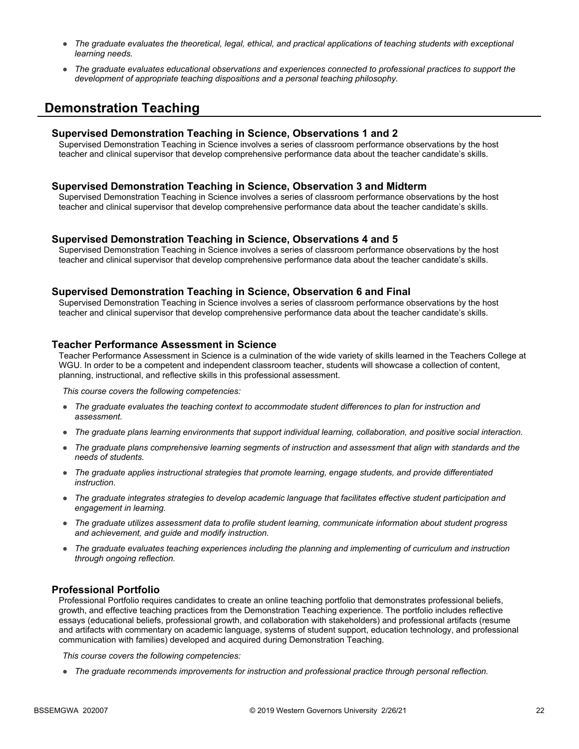- *The graduate evaluates the theoretical, legal, ethical, and practical applications of teaching students with exceptional learning needs.*
- *The graduate evaluates educational observations and experiences connected to professional practices to support the development of appropriate teaching dispositions and a personal teaching philosophy.*

## **Demonstration Teaching**

### **Supervised Demonstration Teaching in Science, Observations 1 and 2**

Supervised Demonstration Teaching in Science involves a series of classroom performance observations by the host teacher and clinical supervisor that develop comprehensive performance data about the teacher candidate's skills.

#### **Supervised Demonstration Teaching in Science, Observation 3 and Midterm**

Supervised Demonstration Teaching in Science involves a series of classroom performance observations by the host teacher and clinical supervisor that develop comprehensive performance data about the teacher candidate's skills.

#### **Supervised Demonstration Teaching in Science, Observations 4 and 5**

Supervised Demonstration Teaching in Science involves a series of classroom performance observations by the host teacher and clinical supervisor that develop comprehensive performance data about the teacher candidate's skills.

#### **Supervised Demonstration Teaching in Science, Observation 6 and Final**

Supervised Demonstration Teaching in Science involves a series of classroom performance observations by the host teacher and clinical supervisor that develop comprehensive performance data about the teacher candidate's skills.

#### **Teacher Performance Assessment in Science**

Teacher Performance Assessment in Science is a culmination of the wide variety of skills learned in the Teachers College at WGU. In order to be a competent and independent classroom teacher, students will showcase a collection of content, planning, instructional, and reflective skills in this professional assessment.

*This course covers the following competencies:*

- *The graduate evaluates the teaching context to accommodate student differences to plan for instruction and assessment.*
- *The graduate plans learning environments that support individual learning, collaboration, and positive social interaction.*
- *The graduate plans comprehensive learning segments of instruction and assessment that align with standards and the needs of students.*
- *The graduate applies instructional strategies that promote learning, engage students, and provide differentiated instruction.*
- *The graduate integrates strategies to develop academic language that facilitates effective student participation and engagement in learning.*
- *The graduate utilizes assessment data to profile student learning, communicate information about student progress and achievement, and guide and modify instruction.*
- *The graduate evaluates teaching experiences including the planning and implementing of curriculum and instruction through ongoing reflection.*

### **Professional Portfolio**

Professional Portfolio requires candidates to create an online teaching portfolio that demonstrates professional beliefs, growth, and effective teaching practices from the Demonstration Teaching experience. The portfolio includes reflective essays (educational beliefs, professional growth, and collaboration with stakeholders) and professional artifacts (resume and artifacts with commentary on academic language, systems of student support, education technology, and professional communication with families) developed and acquired during Demonstration Teaching.

*This course covers the following competencies:*

● *The graduate recommends improvements for instruction and professional practice through personal reflection.*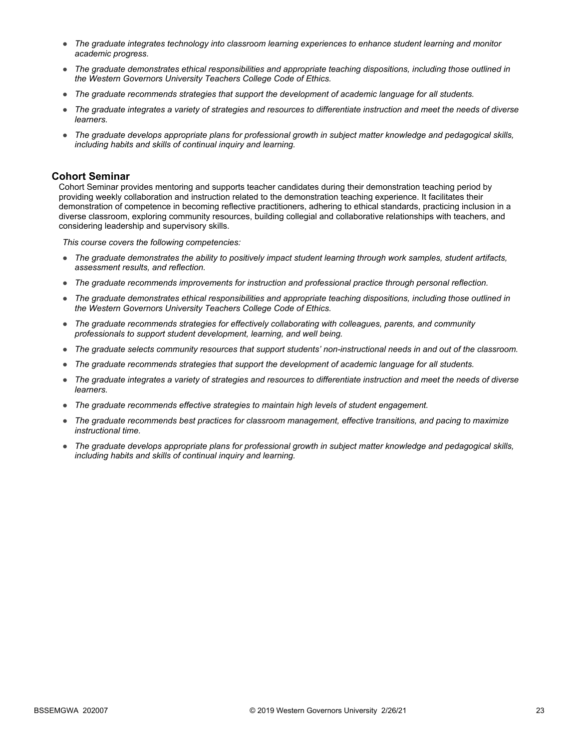- *The graduate integrates technology into classroom learning experiences to enhance student learning and monitor academic progress.*
- *The graduate demonstrates ethical responsibilities and appropriate teaching dispositions, including those outlined in the Western Governors University Teachers College Code of Ethics.*
- *The graduate recommends strategies that support the development of academic language for all students.*
- *The graduate integrates a variety of strategies and resources to differentiate instruction and meet the needs of diverse learners.*
- *The graduate develops appropriate plans for professional growth in subject matter knowledge and pedagogical skills, including habits and skills of continual inquiry and learning.*

### **Cohort Seminar**

Cohort Seminar provides mentoring and supports teacher candidates during their demonstration teaching period by providing weekly collaboration and instruction related to the demonstration teaching experience. It facilitates their demonstration of competence in becoming reflective practitioners, adhering to ethical standards, practicing inclusion in a diverse classroom, exploring community resources, building collegial and collaborative relationships with teachers, and considering leadership and supervisory skills.

- *The graduate demonstrates the ability to positively impact student learning through work samples, student artifacts, assessment results, and reflection.*
- *The graduate recommends improvements for instruction and professional practice through personal reflection.*
- *The graduate demonstrates ethical responsibilities and appropriate teaching dispositions, including those outlined in the Western Governors University Teachers College Code of Ethics.*
- *The graduate recommends strategies for effectively collaborating with colleagues, parents, and community professionals to support student development, learning, and well being.*
- *The graduate selects community resources that support students' non-instructional needs in and out of the classroom.*
- *The graduate recommends strategies that support the development of academic language for all students.*
- *The graduate integrates a variety of strategies and resources to differentiate instruction and meet the needs of diverse learners.*
- *The graduate recommends effective strategies to maintain high levels of student engagement.*
- *The graduate recommends best practices for classroom management, effective transitions, and pacing to maximize instructional time.*
- *The graduate develops appropriate plans for professional growth in subject matter knowledge and pedagogical skills, including habits and skills of continual inquiry and learning.*